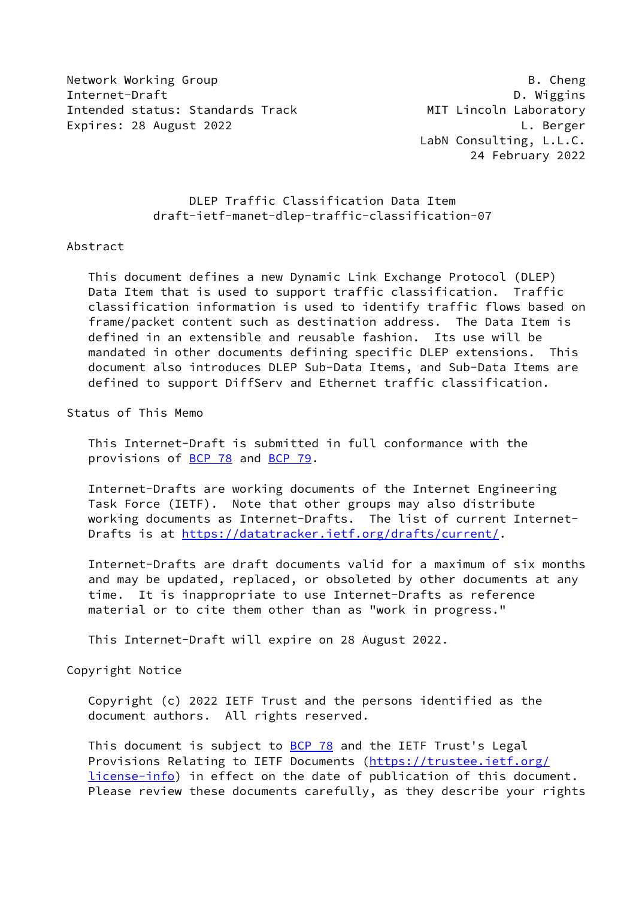Network Working Group **B. Cheng** Internet-Draft D. Wiggins Intended status: Standards Track MIT Lincoln Laboratory Expires: 28 August 2022 **L. Berger** 

 LabN Consulting, L.L.C. 24 February 2022

## DLEP Traffic Classification Data Item draft-ietf-manet-dlep-traffic-classification-07

#### Abstract

 This document defines a new Dynamic Link Exchange Protocol (DLEP) Data Item that is used to support traffic classification. Traffic classification information is used to identify traffic flows based on frame/packet content such as destination address. The Data Item is defined in an extensible and reusable fashion. Its use will be mandated in other documents defining specific DLEP extensions. This document also introduces DLEP Sub-Data Items, and Sub-Data Items are defined to support DiffServ and Ethernet traffic classification.

Status of This Memo

 This Internet-Draft is submitted in full conformance with the provisions of [BCP 78](https://datatracker.ietf.org/doc/pdf/bcp78) and [BCP 79](https://datatracker.ietf.org/doc/pdf/bcp79).

 Internet-Drafts are working documents of the Internet Engineering Task Force (IETF). Note that other groups may also distribute working documents as Internet-Drafts. The list of current Internet- Drafts is at<https://datatracker.ietf.org/drafts/current/>.

 Internet-Drafts are draft documents valid for a maximum of six months and may be updated, replaced, or obsoleted by other documents at any time. It is inappropriate to use Internet-Drafts as reference material or to cite them other than as "work in progress."

This Internet-Draft will expire on 28 August 2022.

Copyright Notice

 Copyright (c) 2022 IETF Trust and the persons identified as the document authors. All rights reserved.

This document is subject to **[BCP 78](https://datatracker.ietf.org/doc/pdf/bcp78)** and the IETF Trust's Legal Provisions Relating to IETF Documents ([https://trustee.ietf.org/](https://trustee.ietf.org/license-info) [license-info](https://trustee.ietf.org/license-info)) in effect on the date of publication of this document. Please review these documents carefully, as they describe your rights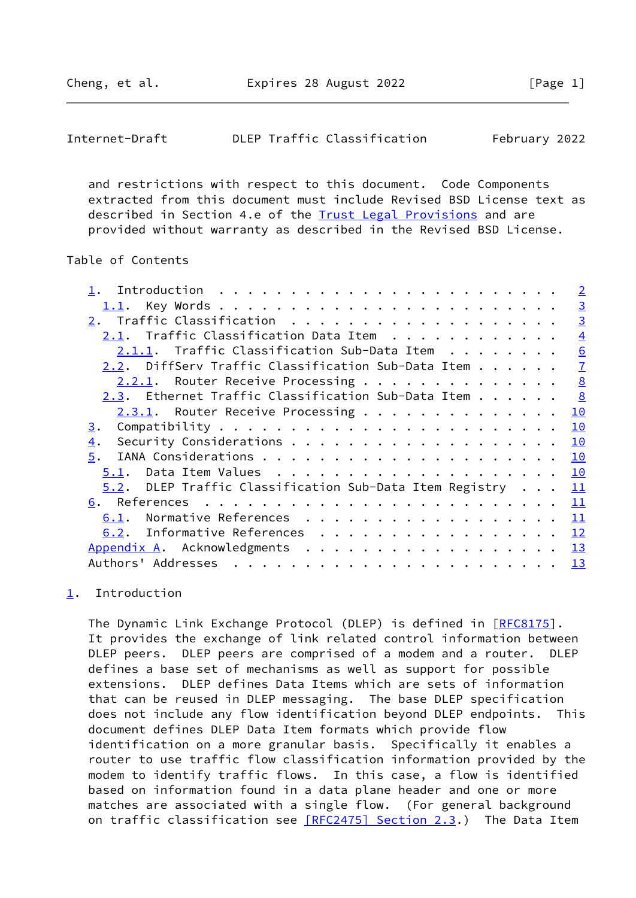<span id="page-1-1"></span>

| Internet-Draft |  |  | DLEP Traffic Classification | February 2022 |  |
|----------------|--|--|-----------------------------|---------------|--|
|----------------|--|--|-----------------------------|---------------|--|

 and restrictions with respect to this document. Code Components extracted from this document must include Revised BSD License text as described in Section 4.e of the [Trust Legal Provisions](https://trustee.ietf.org/license-info) and are provided without warranty as described in the Revised BSD License.

## Table of Contents

|                                                                | $\overline{2}$ |
|----------------------------------------------------------------|----------------|
|                                                                | $\overline{3}$ |
|                                                                | $\overline{3}$ |
| $2.1.$ Traffic Classification Data Item $\ldots \ldots \ldots$ | $\overline{4}$ |
| $2.1.1.$ Traffic Classification Sub-Data Item $\ldots$         | 6              |
| 2.2. DiffServ Traffic Classification Sub-Data Item             | $\overline{1}$ |
| 2.2.1. Router Receive Processing                               | 8              |
| 2.3. Ethernet Traffic Classification Sub-Data Item             | 8              |
| 2.3.1. Router Receive Processing                               | 10             |
| 3.                                                             | 10             |
| 4.                                                             | 10             |
| 5.                                                             | 10             |
| 5.1.                                                           | 10             |
| $5.2$ . DLEP Traffic Classification Sub-Data Item Registry     | 11             |
|                                                                | 11             |
| Normative References<br>6.1.                                   | 11             |
| 6.2. Informative References                                    | 12             |
| Appendix A. Acknowledgments 13                                 |                |
|                                                                | 13             |
|                                                                |                |

# <span id="page-1-0"></span>[1](#page-1-0). Introduction

The Dynamic Link Exchange Protocol (DLEP) is defined in [\[RFC8175](https://datatracker.ietf.org/doc/pdf/rfc8175)]. It provides the exchange of link related control information between DLEP peers. DLEP peers are comprised of a modem and a router. DLEP defines a base set of mechanisms as well as support for possible extensions. DLEP defines Data Items which are sets of information that can be reused in DLEP messaging. The base DLEP specification does not include any flow identification beyond DLEP endpoints. This document defines DLEP Data Item formats which provide flow identification on a more granular basis. Specifically it enables a router to use traffic flow classification information provided by the modem to identify traffic flows. In this case, a flow is identified based on information found in a data plane header and one or more matches are associated with a single flow. (For general background on traffic classification see [\[RFC2475\] Section](https://datatracker.ietf.org/doc/pdf/rfc2475#section-2.3) 2.3.) The Data Item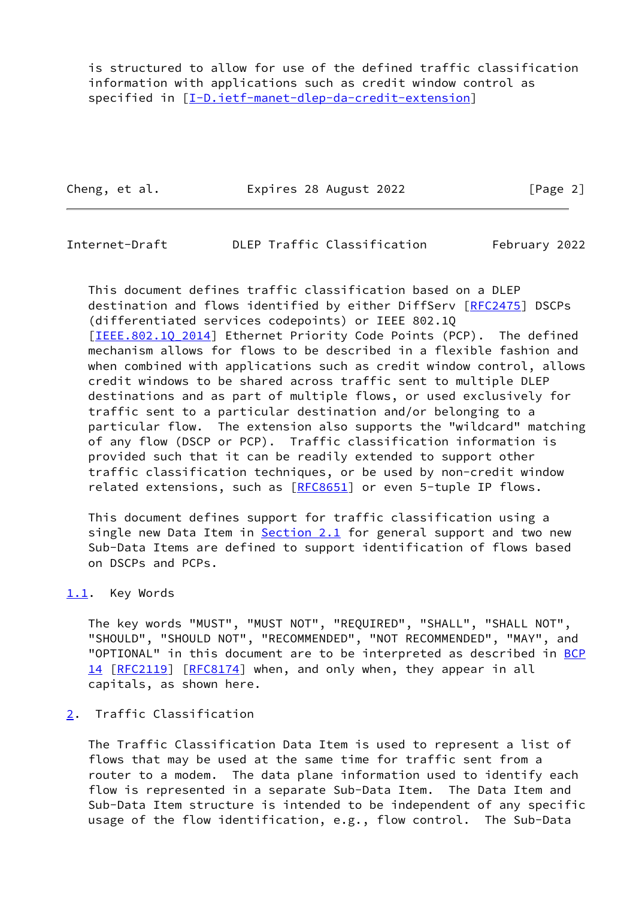is structured to allow for use of the defined traffic classification information with applications such as credit window control as specified in [\[I-D.ietf-manet-dlep-da-credit-extension](#page-12-4)]

Cheng, et al. **Expires 28 August 2022** [Page 2]

<span id="page-2-1"></span>Internet-Draft DLEP Traffic Classification February 2022

 This document defines traffic classification based on a DLEP destination and flows identified by either DiffServ [\[RFC2475](https://datatracker.ietf.org/doc/pdf/rfc2475)] DSCPs (differentiated services codepoints) or IEEE 802.1Q [IEEE.802.10 2014] Ethernet Priority Code Points (PCP). The defined mechanism allows for flows to be described in a flexible fashion and when combined with applications such as credit window control, allows credit windows to be shared across traffic sent to multiple DLEP destinations and as part of multiple flows, or used exclusively for traffic sent to a particular destination and/or belonging to a particular flow. The extension also supports the "wildcard" matching of any flow (DSCP or PCP). Traffic classification information is provided such that it can be readily extended to support other traffic classification techniques, or be used by non-credit window related extensions, such as [\[RFC8651](https://datatracker.ietf.org/doc/pdf/rfc8651)] or even 5-tuple IP flows.

 This document defines support for traffic classification using a single new Data Item in  $Section 2.1$  for general support and two new Sub-Data Items are defined to support identification of flows based on DSCPs and PCPs.

## <span id="page-2-0"></span>[1.1](#page-2-0). Key Words

 The key words "MUST", "MUST NOT", "REQUIRED", "SHALL", "SHALL NOT", "SHOULD", "SHOULD NOT", "RECOMMENDED", "NOT RECOMMENDED", "MAY", and "OPTIONAL" in this document are to be interpreted as described in [BCP](https://datatracker.ietf.org/doc/pdf/bcp14) [14](https://datatracker.ietf.org/doc/pdf/bcp14) [[RFC2119\]](https://datatracker.ietf.org/doc/pdf/rfc2119) [\[RFC8174](https://datatracker.ietf.org/doc/pdf/rfc8174)] when, and only when, they appear in all capitals, as shown here.

## <span id="page-2-2"></span>[2](#page-2-2). Traffic Classification

 The Traffic Classification Data Item is used to represent a list of flows that may be used at the same time for traffic sent from a router to a modem. The data plane information used to identify each flow is represented in a separate Sub-Data Item. The Data Item and Sub-Data Item structure is intended to be independent of any specific usage of the flow identification, e.g., flow control. The Sub-Data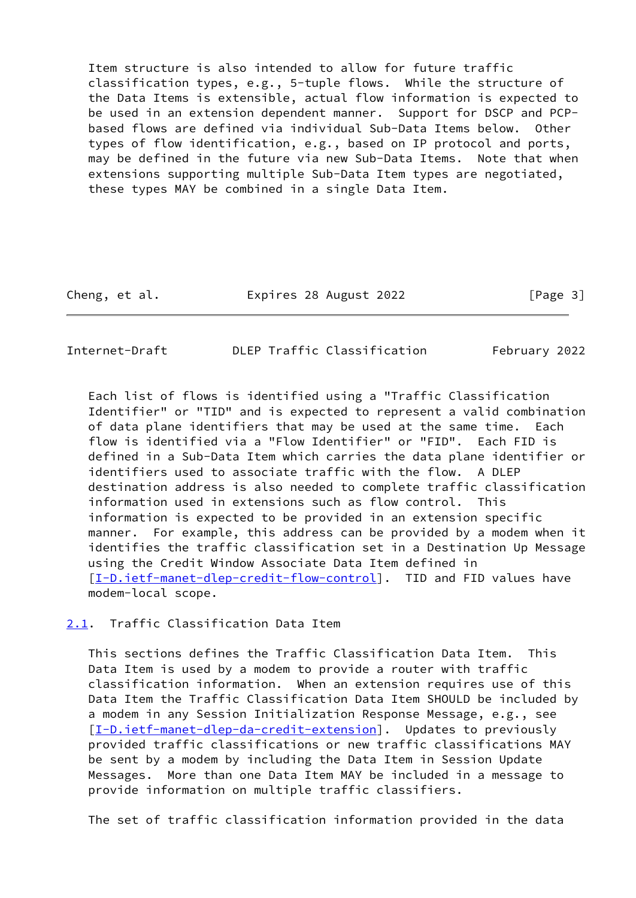Item structure is also intended to allow for future traffic classification types, e.g., 5-tuple flows. While the structure of the Data Items is extensible, actual flow information is expected to be used in an extension dependent manner. Support for DSCP and PCP based flows are defined via individual Sub-Data Items below. Other types of flow identification, e.g., based on IP protocol and ports, may be defined in the future via new Sub-Data Items. Note that when extensions supporting multiple Sub-Data Item types are negotiated, these types MAY be combined in a single Data Item.

Cheng, et al. Expires 28 August 2022 [Page 3]

<span id="page-3-1"></span>Internet-Draft DLEP Traffic Classification February 2022

 Each list of flows is identified using a "Traffic Classification Identifier" or "TID" and is expected to represent a valid combination of data plane identifiers that may be used at the same time. Each flow is identified via a "Flow Identifier" or "FID". Each FID is defined in a Sub-Data Item which carries the data plane identifier or identifiers used to associate traffic with the flow. A DLEP destination address is also needed to complete traffic classification information used in extensions such as flow control. This information is expected to be provided in an extension specific manner. For example, this address can be provided by a modem when it identifies the traffic classification set in a Destination Up Message using the Credit Window Associate Data Item defined in [\[I-D.ietf-manet-dlep-credit-flow-control](#page-12-5)]. TID and FID values have modem-local scope.

<span id="page-3-0"></span>[2.1](#page-3-0). Traffic Classification Data Item

 This sections defines the Traffic Classification Data Item. This Data Item is used by a modem to provide a router with traffic classification information. When an extension requires use of this Data Item the Traffic Classification Data Item SHOULD be included by a modem in any Session Initialization Response Message, e.g., see [\[I-D.ietf-manet-dlep-da-credit-extension](#page-12-4)]. Updates to previously provided traffic classifications or new traffic classifications MAY be sent by a modem by including the Data Item in Session Update Messages. More than one Data Item MAY be included in a message to provide information on multiple traffic classifiers.

The set of traffic classification information provided in the data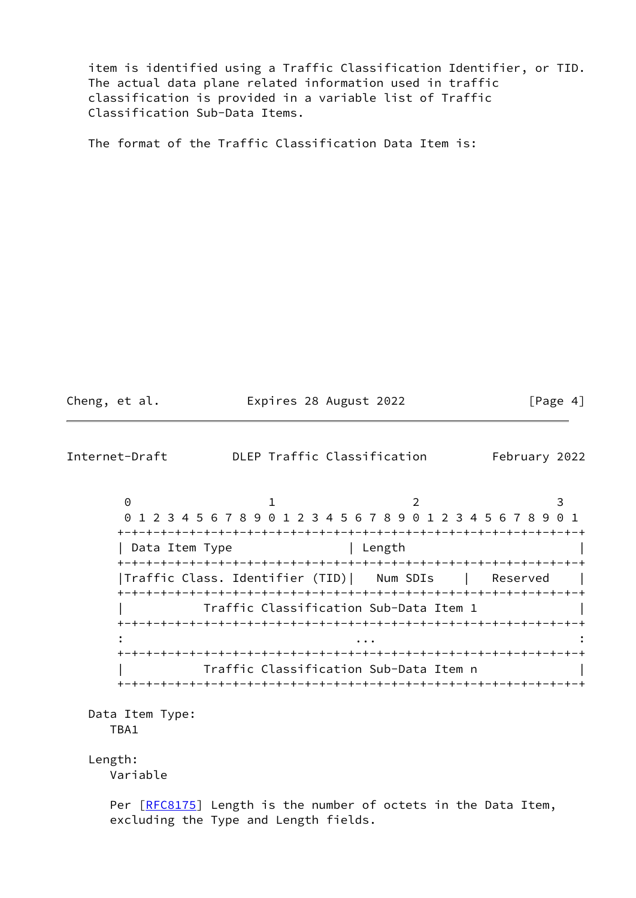item is identified using a Traffic Classification Identifier, or TID. The actual data plane related information used in traffic classification is provided in a variable list of Traffic Classification Sub-Data Items.

The format of the Traffic Classification Data Item is:

Cheng, et al. **Expires 28 August 2022** [Page 4]

Internet-Draft DLEP Traffic Classification February 2022

 $0$  1 2 3 0 1 2 3 4 5 6 7 8 9 0 1 2 3 4 5 6 7 8 9 0 1 2 3 4 5 6 7 8 9 0 1 +-+-+-+-+-+-+-+-+-+-+-+-+-+-+-+-+-+-+-+-+-+-+-+-+-+-+-+-+-+-+-+-+ | Data Item Type | Length | +-+-+-+-+-+-+-+-+-+-+-+-+-+-+-+-+-+-+-+-+-+-+-+-+-+-+-+-+-+-+-+-+ |Traffic Class. Identifier (TID)| Num SDIs | Reserved | +-+-+-+-+-+-+-+-+-+-+-+-+-+-+-+-+-+-+-+-+-+-+-+-+-+-+-+-+-+-+-+-+ | Traffic Classification Sub-Data Item 1 | +-+-+-+-+-+-+-+-+-+-+-+-+-+-+-+-+-+-+-+-+-+-+-+-+-+-+-+-+-+-+-+-+ : ... : +-+-+-+-+-+-+-+-+-+-+-+-+-+-+-+-+-+-+-+-+-+-+-+-+-+-+-+-+-+-+-+-+ | Traffic Classification Sub-Data Item n | +-+-+-+-+-+-+-+-+-+-+-+-+-+-+-+-+-+-+-+-+-+-+-+-+-+-+-+-+-+-+-+-+

 Data Item Type: TBA1

Length:

Variable

Per [\[RFC8175](https://datatracker.ietf.org/doc/pdf/rfc8175)] Length is the number of octets in the Data Item, excluding the Type and Length fields.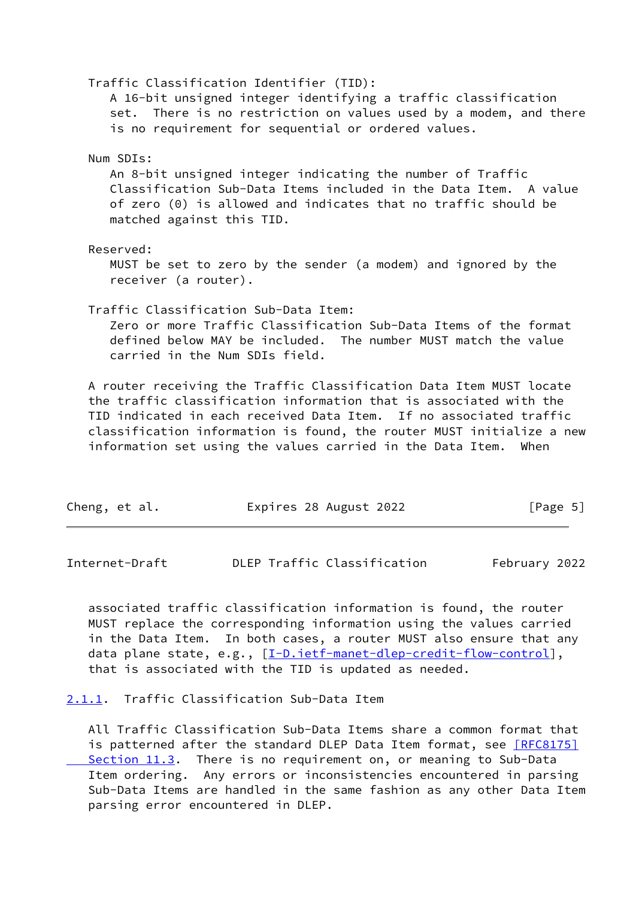| Cheng, et al.                                                                                   | Expires 28 August 2022 |                                                                                                                                                                                                                                                                                                                                                             | [Page 5] |
|-------------------------------------------------------------------------------------------------|------------------------|-------------------------------------------------------------------------------------------------------------------------------------------------------------------------------------------------------------------------------------------------------------------------------------------------------------------------------------------------------------|----------|
|                                                                                                 |                        | A router receiving the Traffic Classification Data Item MUST locate<br>the traffic classification information that is associated with the<br>TID indicated in each received Data Item. If no associated traffic<br>classification information is found, the router MUST initialize a new<br>information set using the values carried in the Data Item. When |          |
| Traffic Classification Sub-Data Item:<br>carried in the Num SDIs field.                         |                        | Zero or more Traffic Classification Sub-Data Items of the format<br>defined below MAY be included. The number MUST match the value                                                                                                                                                                                                                          |          |
| Reserved:<br>receiver (a router).                                                               |                        | MUST be set to zero by the sender (a modem) and ignored by the                                                                                                                                                                                                                                                                                              |          |
| Num SDIs:<br>matched against this TID.                                                          |                        | An 8-bit unsigned integer indicating the number of Traffic<br>Classification Sub-Data Items included in the Data Item. A value<br>of zero (0) is allowed and indicates that no traffic should be                                                                                                                                                            |          |
| Traffic Classification Identifier (TID):<br>is no requirement for sequential or ordered values. |                        | A 16-bit unsigned integer identifying a traffic classification<br>set. There is no restriction on values used by a modem, and there                                                                                                                                                                                                                         |          |

<span id="page-5-1"></span>Internet-Draft DLEP Traffic Classification February 2022

 associated traffic classification information is found, the router MUST replace the corresponding information using the values carried in the Data Item. In both cases, a router MUST also ensure that any data plane state, e.g., [\[I-D.ietf-manet-dlep-credit-flow-control](#page-12-5)], that is associated with the TID is updated as needed.

<span id="page-5-0"></span>[2.1.1](#page-5-0). Traffic Classification Sub-Data Item

 All Traffic Classification Sub-Data Items share a common format that is patterned after the standard DLEP Data Item format, see [\[RFC8175\]](https://datatracker.ietf.org/doc/pdf/rfc8175#section-11.3) Section 11.3. There is no requirement on, or meaning to Sub-Data Item ordering. Any errors or inconsistencies encountered in parsing Sub-Data Items are handled in the same fashion as any other Data Item parsing error encountered in DLEP.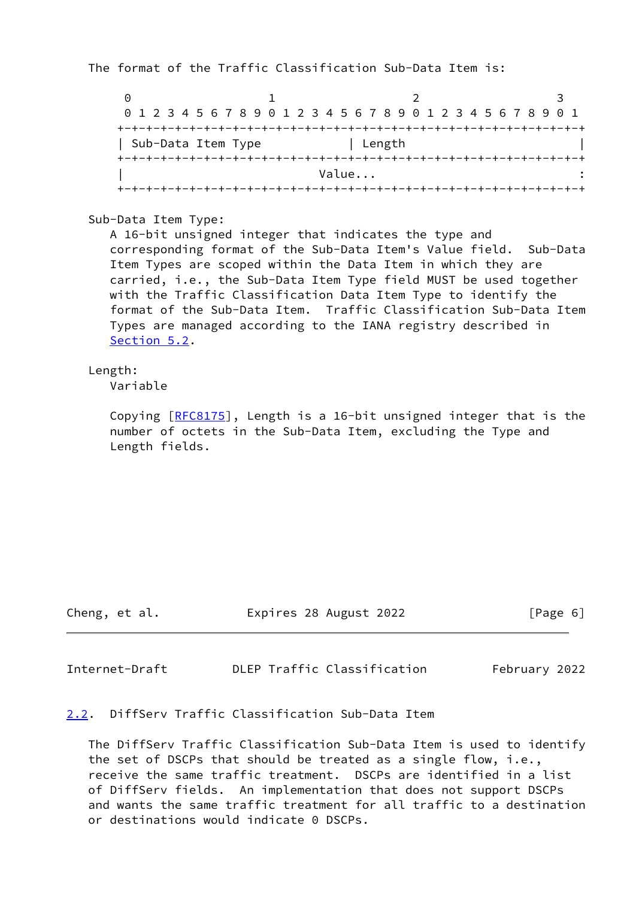The format of the Traffic Classification Sub-Data Item is:

 $0$  1 2 3 0 1 2 3 4 5 6 7 8 9 0 1 2 3 4 5 6 7 8 9 0 1 2 3 4 5 6 7 8 9 0 1 +-+-+-+-+-+-+-+-+-+-+-+-+-+-+-+-+-+-+-+-+-+-+-+-+-+-+-+-+-+-+-+-+ | Sub-Data Item Type | Length +-+-+-+-+-+-+-+-+-+-+-+-+-+-+-+-+-+-+-+-+-+-+-+-+-+-+-+-+-+-+-+-+ | Value... : +-+-+-+-+-+-+-+-+-+-+-+-+-+-+-+-+-+-+-+-+-+-+-+-+-+-+-+-+-+-+-+-+

Sub-Data Item Type:

 A 16-bit unsigned integer that indicates the type and corresponding format of the Sub-Data Item's Value field. Sub-Data Item Types are scoped within the Data Item in which they are carried, i.e., the Sub-Data Item Type field MUST be used together with the Traffic Classification Data Item Type to identify the format of the Sub-Data Item. Traffic Classification Sub-Data Item Types are managed according to the IANA registry described in [Section 5.2](#page-11-0).

Length:

Variable

Copying [[RFC8175\]](https://datatracker.ietf.org/doc/pdf/rfc8175), Length is a 16-bit unsigned integer that is the number of octets in the Sub-Data Item, excluding the Type and Length fields.

Cheng, et al. Expires 28 August 2022 [Page 6]

<span id="page-6-1"></span>Internet-Draft DLEP Traffic Classification February 2022

<span id="page-6-0"></span>[2.2](#page-6-0). DiffServ Traffic Classification Sub-Data Item

 The DiffServ Traffic Classification Sub-Data Item is used to identify the set of DSCPs that should be treated as a single flow, i.e., receive the same traffic treatment. DSCPs are identified in a list of DiffServ fields. An implementation that does not support DSCPs and wants the same traffic treatment for all traffic to a destination or destinations would indicate 0 DSCPs.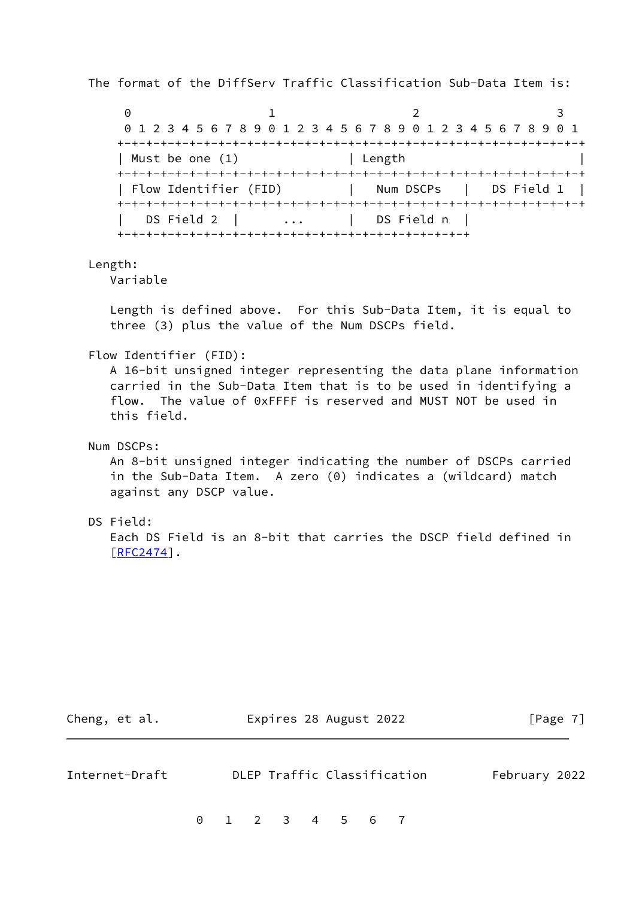The format of the DiffServ Traffic Classification Sub-Data Item is:

 $0$  1 2 3 0 1 2 3 4 5 6 7 8 9 0 1 2 3 4 5 6 7 8 9 0 1 2 3 4 5 6 7 8 9 0 1 +-+-+-+-+-+-+-+-+-+-+-+-+-+-+-+-+-+-+-+-+-+-+-+-+-+-+-+-+-+-+-+-+ | Must be one (1) | Length +-+-+-+-+-+-+-+-+-+-+-+-+-+-+-+-+-+-+-+-+-+-+-+-+-+-+-+-+-+-+-+-+ | Flow Identifier (FID) | Num DSCPs | DS Field 1 | +-+-+-+-+-+-+-+-+-+-+-+-+-+-+-+-+-+-+-+-+-+-+-+-+-+-+-+-+-+-+-+-+ | DS Field 2 | ... | DS Field n | +-+-+-+-+-+-+-+-+-+-+-+-+-+-+-+-+-+-+-+-+-+-+-+-+

Length:

Variable

 Length is defined above. For this Sub-Data Item, it is equal to three (3) plus the value of the Num DSCPs field.

Flow Identifier (FID):

 A 16-bit unsigned integer representing the data plane information carried in the Sub-Data Item that is to be used in identifying a flow. The value of 0xFFFF is reserved and MUST NOT be used in this field.

Num DSCPs:

 An 8-bit unsigned integer indicating the number of DSCPs carried in the Sub-Data Item. A zero (0) indicates a (wildcard) match against any DSCP value.

#### DS Field:

 Each DS Field is an 8-bit that carries the DSCP field defined in  $[REC2474]$ .

<span id="page-7-0"></span>

| Cheng, et al.  |  |  | Expires 28 August 2022 |  |                             | [Page 7]      |  |
|----------------|--|--|------------------------|--|-----------------------------|---------------|--|
| Internet-Draft |  |  |                        |  | DLEP Traffic Classification | February 2022 |  |
|                |  |  | 0 1 2 3 4 5 6 7        |  |                             |               |  |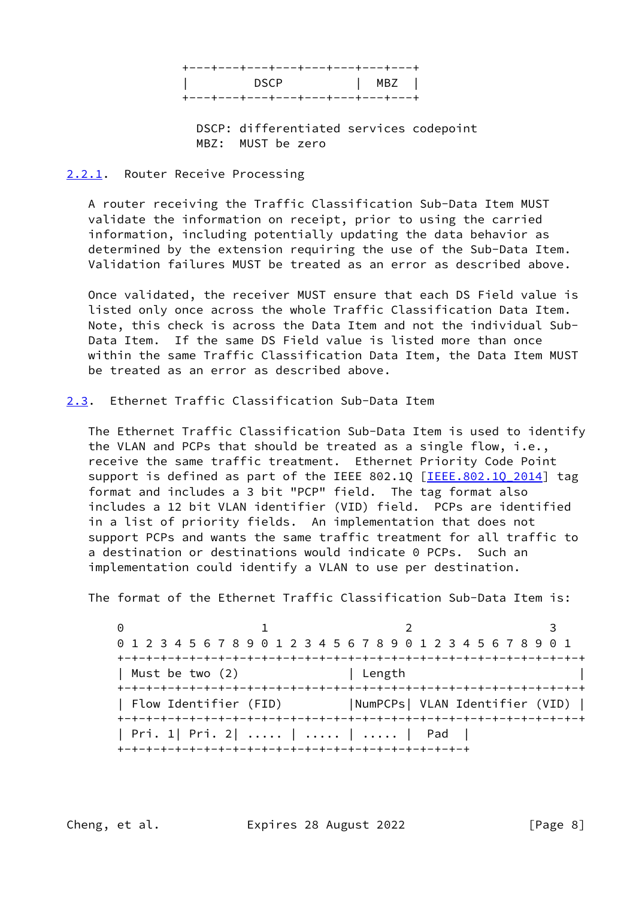| +---+---+---+---+---+---+---+---+ |            |
|-----------------------------------|------------|
| l DSCP                            | <b>NBZ</b> |
| +---+---+---+---+---+---+---+---+ |            |

 DSCP: differentiated services codepoint MBZ: MUST be zero

## <span id="page-8-0"></span>[2.2.1](#page-8-0). Router Receive Processing

 A router receiving the Traffic Classification Sub-Data Item MUST validate the information on receipt, prior to using the carried information, including potentially updating the data behavior as determined by the extension requiring the use of the Sub-Data Item. Validation failures MUST be treated as an error as described above.

 Once validated, the receiver MUST ensure that each DS Field value is listed only once across the whole Traffic Classification Data Item. Note, this check is across the Data Item and not the individual Sub- Data Item. If the same DS Field value is listed more than once within the same Traffic Classification Data Item, the Data Item MUST be treated as an error as described above.

<span id="page-8-1"></span>[2.3](#page-8-1). Ethernet Traffic Classification Sub-Data Item

 The Ethernet Traffic Classification Sub-Data Item is used to identify the VLAN and PCPs that should be treated as a single flow, i.e., receive the same traffic treatment. Ethernet Priority Code Point support is defined as part of the IEEE 802.1Q [IEEE.802.1Q 2014] tag format and includes a 3 bit "PCP" field. The tag format also includes a 12 bit VLAN identifier (VID) field. PCPs are identified in a list of priority fields. An implementation that does not support PCPs and wants the same traffic treatment for all traffic to a destination or destinations would indicate 0 PCPs. Such an implementation could identify a VLAN to use per destination.

The format of the Ethernet Traffic Classification Sub-Data Item is:

0 1 2 3 0 1 2 3 4 5 6 7 8 9 0 1 2 3 4 5 6 7 8 9 0 1 2 3 4 5 6 7 8 9 0 1 +-+-+-+-+-+-+-+-+-+-+-+-+-+-+-+-+-+-+-+-+-+-+-+-+-+-+-+-+-+-+-+-+ | Must be two (2) | Length +-+-+-+-+-+-+-+-+-+-+-+-+-+-+-+-+-+-+-+-+-+-+-+-+-+-+-+-+-+-+-+-+ | Flow Identifier (FID) |NumPCPs| VLAN Identifier (VID) | +-+-+-+-+-+-+-+-+-+-+-+-+-+-+-+-+-+-+-+-+-+-+-+-+-+-+-+-+-+-+-+-+ | Pri. 1| Pri. 2| ..... | ..... | ..... | Pad | +-+-+-+-+-+-+-+-+-+-+-+-+-+-+-+-+-+-+-+-+-+-+-+-+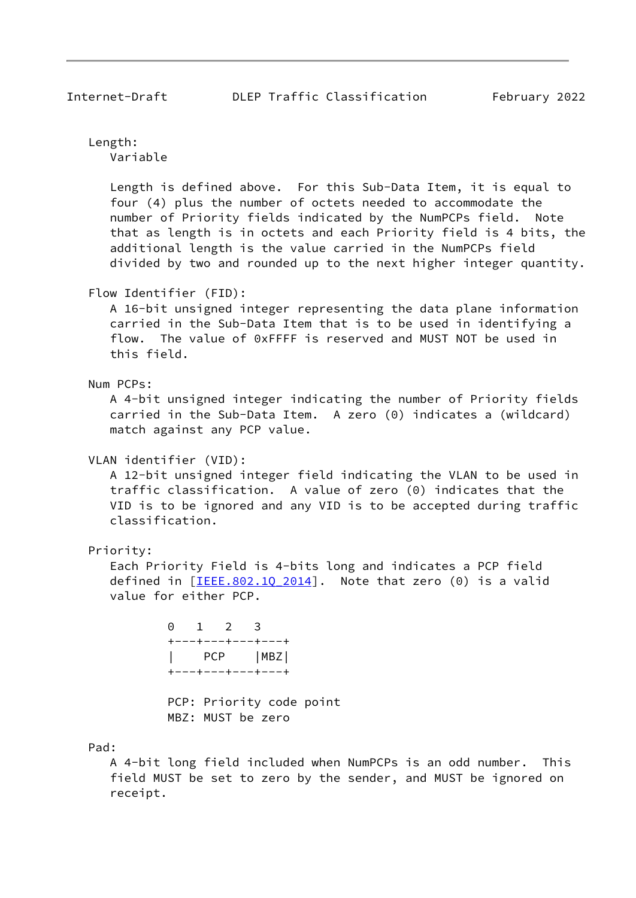Length:

Variable

 Length is defined above. For this Sub-Data Item, it is equal to four (4) plus the number of octets needed to accommodate the number of Priority fields indicated by the NumPCPs field. Note that as length is in octets and each Priority field is 4 bits, the additional length is the value carried in the NumPCPs field divided by two and rounded up to the next higher integer quantity.

Flow Identifier (FID):

 A 16-bit unsigned integer representing the data plane information carried in the Sub-Data Item that is to be used in identifying a flow. The value of 0xFFFF is reserved and MUST NOT be used in this field.

Num PCPs:

 A 4-bit unsigned integer indicating the number of Priority fields carried in the Sub-Data Item. A zero (0) indicates a (wildcard) match against any PCP value.

VLAN identifier (VID):

 A 12-bit unsigned integer field indicating the VLAN to be used in traffic classification. A value of zero (0) indicates that the VID is to be ignored and any VID is to be accepted during traffic classification.

Priority:

 Each Priority Field is 4-bits long and indicates a PCP field defined in  $[IEEE.802.10 2014]$ . Note that zero (0) is a valid value for either PCP.

> 0 1 2 3 +---+---+---+---+ PCP | MBZ | +---+---+---+---+

 PCP: Priority code point MBZ: MUST be zero

Pad:

 A 4-bit long field included when NumPCPs is an odd number. This field MUST be set to zero by the sender, and MUST be ignored on receipt.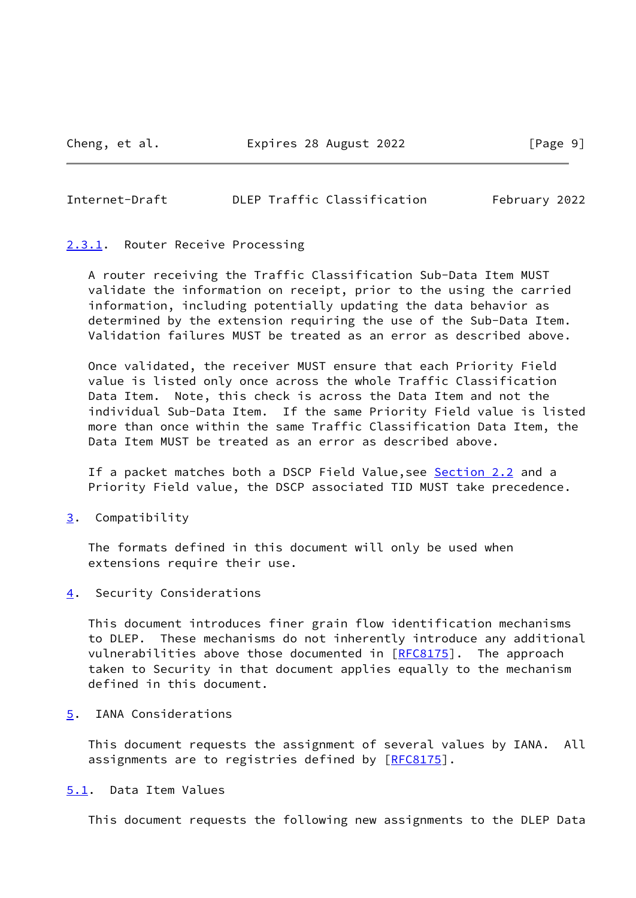#### <span id="page-10-1"></span>Internet-Draft DLEP Traffic Classification February 2022

# <span id="page-10-0"></span>[2.3.1](#page-10-0). Router Receive Processing

 A router receiving the Traffic Classification Sub-Data Item MUST validate the information on receipt, prior to the using the carried information, including potentially updating the data behavior as determined by the extension requiring the use of the Sub-Data Item. Validation failures MUST be treated as an error as described above.

 Once validated, the receiver MUST ensure that each Priority Field value is listed only once across the whole Traffic Classification Data Item. Note, this check is across the Data Item and not the individual Sub-Data Item. If the same Priority Field value is listed more than once within the same Traffic Classification Data Item, the Data Item MUST be treated as an error as described above.

If a packet matches both a DSCP Field Value, see [Section 2.2](#page-6-0) and a Priority Field value, the DSCP associated TID MUST take precedence.

<span id="page-10-2"></span>[3](#page-10-2). Compatibility

 The formats defined in this document will only be used when extensions require their use.

<span id="page-10-3"></span>[4](#page-10-3). Security Considerations

 This document introduces finer grain flow identification mechanisms to DLEP. These mechanisms do not inherently introduce any additional vulnerabilities above those documented in  $[REC8175]$ . The approach taken to Security in that document applies equally to the mechanism defined in this document.

<span id="page-10-4"></span>[5](#page-10-4). IANA Considerations

 This document requests the assignment of several values by IANA. All assignments are to registries defined by [\[RFC8175](https://datatracker.ietf.org/doc/pdf/rfc8175)].

## <span id="page-10-5"></span>[5.1](#page-10-5). Data Item Values

This document requests the following new assignments to the DLEP Data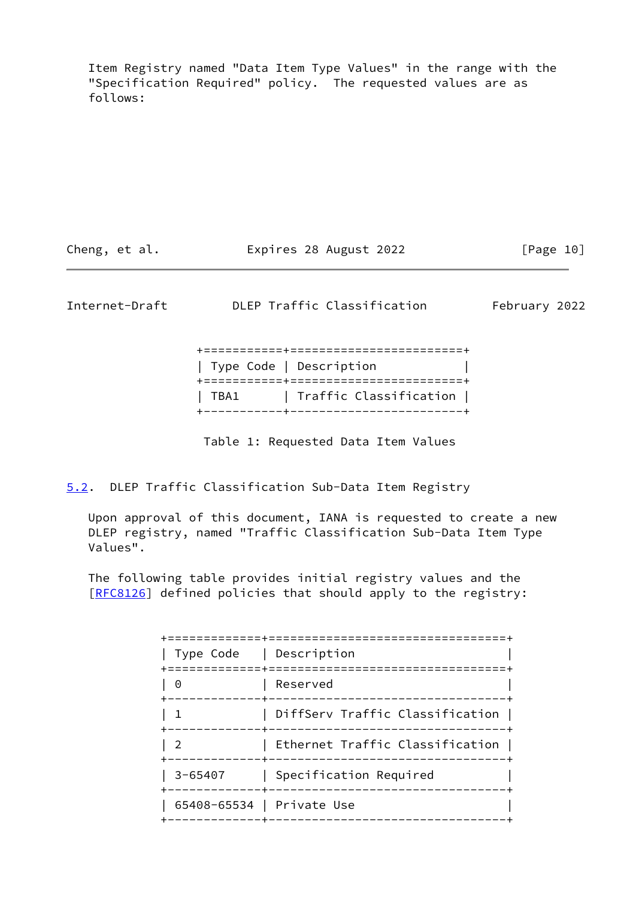Item Registry named "Data Item Type Values" in the range with the "Specification Required" policy. The requested values are as follows:

| Expires 28 August 2022<br>Cheng, et al. | [Page 10] |
|-----------------------------------------|-----------|
|-----------------------------------------|-----------|

<span id="page-11-1"></span>Internet-Draft DLEP Traffic Classification February 2022

|  | Type Code   Description       |  |
|--|-------------------------------|--|
|  | TBA1   Traffic Classification |  |
|  |                               |  |

Table 1: Requested Data Item Values

<span id="page-11-0"></span>[5.2](#page-11-0). DLEP Traffic Classification Sub-Data Item Registry

 Upon approval of this document, IANA is requested to create a new DLEP registry, named "Traffic Classification Sub-Data Item Type Values".

 The following table provides initial registry values and the [\[RFC8126](https://datatracker.ietf.org/doc/pdf/rfc8126)] defined policies that should apply to the registry:

| Type Code   Description   |                                                  |
|---------------------------|--------------------------------------------------|
| 0                         | ==============================<br>Reserved       |
|                           | DiffServ Traffic Classification                  |
|                           | Ethernet Traffic Classification<br>-----------   |
| $3 - 65407$               | Specification Required<br>______________________ |
| 65408-65534   Private Use | -----------------                                |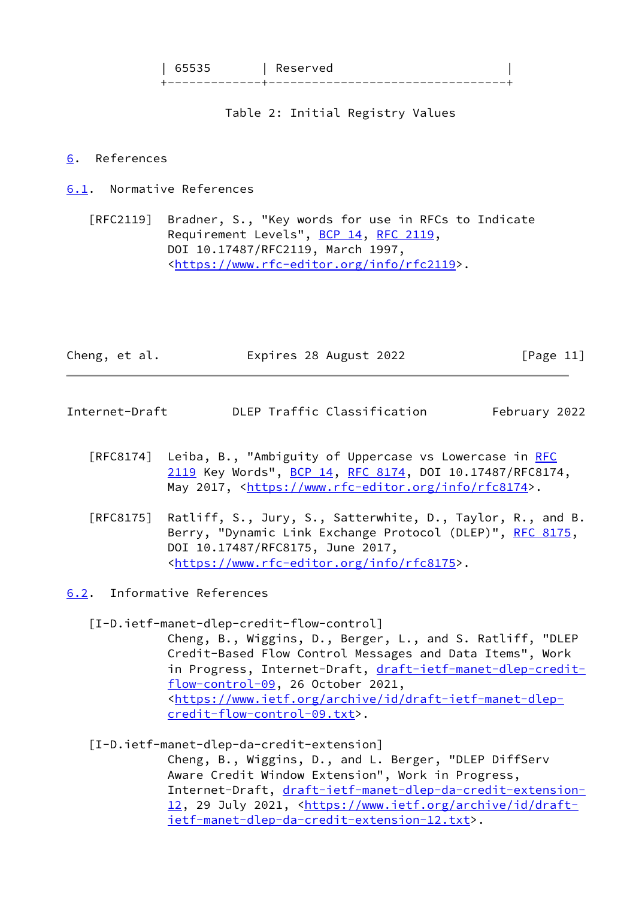| 65535 | Reserved | +-------------+---------------------------------+

Table 2: Initial Registry Values

#### <span id="page-12-0"></span>[6](#page-12-0). References

<span id="page-12-1"></span>[6.1](#page-12-1). Normative References

 [RFC2119] Bradner, S., "Key words for use in RFCs to Indicate Requirement Levels", [BCP 14](https://datatracker.ietf.org/doc/pdf/bcp14), [RFC 2119](https://datatracker.ietf.org/doc/pdf/rfc2119), DOI 10.17487/RFC2119, March 1997, <[https://www.rfc-editor.org/info/rfc2119>](https://www.rfc-editor.org/info/rfc2119).

|  | Cheng, et al. | Expires 28 August 2022 | [Page 11] |
|--|---------------|------------------------|-----------|
|--|---------------|------------------------|-----------|

- <span id="page-12-3"></span>Internet-Draft DLEP Traffic Classification February 2022
	- [RFC8174] Leiba, B., "Ambiguity of Uppercase vs Lowercase in [RFC](https://datatracker.ietf.org/doc/pdf/rfc2119) [2119](https://datatracker.ietf.org/doc/pdf/rfc2119) Key Words", [BCP 14](https://datatracker.ietf.org/doc/pdf/bcp14), [RFC 8174,](https://datatracker.ietf.org/doc/pdf/rfc8174) DOI 10.17487/RFC8174, May 2017, [<https://www.rfc-editor.org/info/rfc8174](https://www.rfc-editor.org/info/rfc8174)>.
	- [RFC8175] Ratliff, S., Jury, S., Satterwhite, D., Taylor, R., and B. Berry, "Dynamic Link Exchange Protocol (DLEP)", [RFC 8175,](https://datatracker.ietf.org/doc/pdf/rfc8175) DOI 10.17487/RFC8175, June 2017, <[https://www.rfc-editor.org/info/rfc8175>](https://www.rfc-editor.org/info/rfc8175).

<span id="page-12-2"></span>[6.2](#page-12-2). Informative References

<span id="page-12-5"></span>[I-D.ietf-manet-dlep-credit-flow-control]

 Cheng, B., Wiggins, D., Berger, L., and S. Ratliff, "DLEP Credit-Based Flow Control Messages and Data Items", Work in Progress, Internet-Draft, [draft-ietf-manet-dlep-credit](https://datatracker.ietf.org/doc/pdf/draft-ietf-manet-dlep-credit-flow-control-09) [flow-control-09](https://datatracker.ietf.org/doc/pdf/draft-ietf-manet-dlep-credit-flow-control-09), 26 October 2021, <[https://www.ietf.org/archive/id/draft-ietf-manet-dlep](https://www.ietf.org/archive/id/draft-ietf-manet-dlep-credit-flow-control-09.txt) [credit-flow-control-09.txt>](https://www.ietf.org/archive/id/draft-ietf-manet-dlep-credit-flow-control-09.txt).

<span id="page-12-4"></span>[I-D.ietf-manet-dlep-da-credit-extension]

 Cheng, B., Wiggins, D., and L. Berger, "DLEP DiffServ Aware Credit Window Extension", Work in Progress, Internet-Draft, [draft-ietf-manet-dlep-da-credit-extension-](https://datatracker.ietf.org/doc/pdf/draft-ietf-manet-dlep-da-credit-extension-12) [12,](https://datatracker.ietf.org/doc/pdf/draft-ietf-manet-dlep-da-credit-extension-12) 29 July 2021, [<https://www.ietf.org/archive/id/draft](https://www.ietf.org/archive/id/draft-ietf-manet-dlep-da-credit-extension-12.txt)[ietf-manet-dlep-da-credit-extension-12.txt>](https://www.ietf.org/archive/id/draft-ietf-manet-dlep-da-credit-extension-12.txt).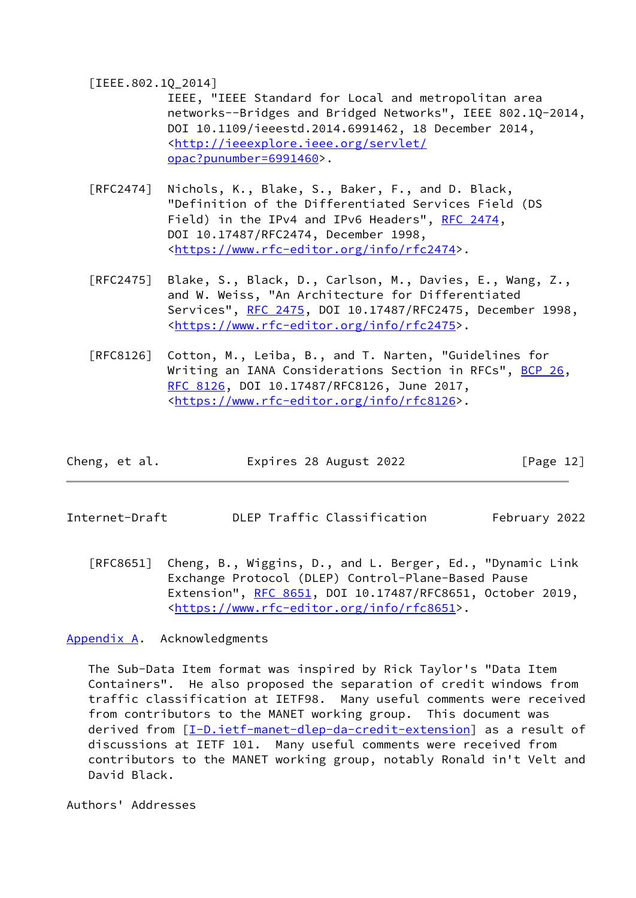#### <span id="page-13-2"></span>[IEEE.802.1Q\_2014]

 IEEE, "IEEE Standard for Local and metropolitan area networks--Bridges and Bridged Networks", IEEE 802.1Q-2014, DOI 10.1109/ieeestd.2014.6991462, 18 December 2014, <[http://ieeexplore.ieee.org/servlet/](http://ieeexplore.ieee.org/servlet/opac?punumber=6991460) [opac?punumber=6991460>](http://ieeexplore.ieee.org/servlet/opac?punumber=6991460).

- [RFC2474] Nichols, K., Blake, S., Baker, F., and D. Black, "Definition of the Differentiated Services Field (DS Field) in the IPv4 and IPv6 Headers", [RFC 2474](https://datatracker.ietf.org/doc/pdf/rfc2474), DOI 10.17487/RFC2474, December 1998, <[https://www.rfc-editor.org/info/rfc2474>](https://www.rfc-editor.org/info/rfc2474).
- [RFC2475] Blake, S., Black, D., Carlson, M., Davies, E., Wang, Z., and W. Weiss, "An Architecture for Differentiated Services", [RFC 2475](https://datatracker.ietf.org/doc/pdf/rfc2475), DOI 10.17487/RFC2475, December 1998, <[https://www.rfc-editor.org/info/rfc2475>](https://www.rfc-editor.org/info/rfc2475).
- [RFC8126] Cotton, M., Leiba, B., and T. Narten, "Guidelines for Writing an IANA Considerations Section in RFCs", [BCP 26](https://datatracker.ietf.org/doc/pdf/bcp26), [RFC 8126,](https://datatracker.ietf.org/doc/pdf/rfc8126) DOI 10.17487/RFC8126, June 2017, <[https://www.rfc-editor.org/info/rfc8126>](https://www.rfc-editor.org/info/rfc8126).

| Cheng, et al. | Expires 28 August 2022 | [Page 12] |
|---------------|------------------------|-----------|
|---------------|------------------------|-----------|

- <span id="page-13-1"></span>Internet-Draft DLEP Traffic Classification February 2022
	- [RFC8651] Cheng, B., Wiggins, D., and L. Berger, Ed., "Dynamic Link Exchange Protocol (DLEP) Control-Plane-Based Pause Extension", [RFC 8651,](https://datatracker.ietf.org/doc/pdf/rfc8651) DOI 10.17487/RFC8651, October 2019, <[https://www.rfc-editor.org/info/rfc8651>](https://www.rfc-editor.org/info/rfc8651).

<span id="page-13-0"></span>[Appendix A.](#page-13-0) Acknowledgments

 The Sub-Data Item format was inspired by Rick Taylor's "Data Item Containers". He also proposed the separation of credit windows from traffic classification at IETF98. Many useful comments were received from contributors to the MANET working group. This document was derived from [\[I-D.ietf-manet-dlep-da-credit-extension](#page-12-4)] as a result of discussions at IETF 101. Many useful comments were received from contributors to the MANET working group, notably Ronald in't Velt and David Black.

Authors' Addresses